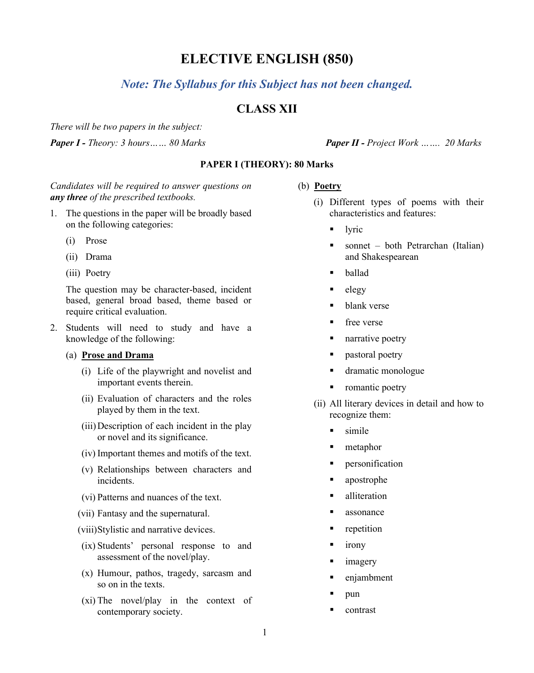# **ELECTIVE ENGLISH (850)**

## *Note: The Syllabus for this Subject has not been changed.*

## **CLASS XII**

*There will be two papers in the subject:*

*Paper I - Theory: 3 hours…… 80 Marks Paper II - Project Work ……. 20 Marks*

## **PAPER I (THEORY): 80 Marks**

## *Candidates will be required to answer questions on any three of the prescribed textbooks.*

- 1. The questions in the paper will be broadly based on the following categories:
	- (i) Prose
	- (ii) Drama
	- (iii) Poetry

The question may be character-based, incident based, general broad based, theme based or require critical evaluation.

- 2. Students will need to study and have a knowledge of the following:
	- (a) **Prose and Drama**
		- (i) Life of the playwright and novelist and important events therein.
		- (ii) Evaluation of characters and the roles played by them in the text.
		- (iii)Description of each incident in the play or novel and its significance.
		- (iv) Important themes and motifs of the text.
		- (v) Relationships between characters and incidents.
		- (vi) Patterns and nuances of the text.
		- (vii) Fantasy and the supernatural.
		- (viii)Stylistic and narrative devices.
		- (ix) Students' personal response to and assessment of the novel/play.
		- (x) Humour, pathos, tragedy, sarcasm and so on in the texts.
		- (xi) The novel/play in the context of contemporary society.

(b) **Poetry**

- (i) Different types of poems with their characteristics and features:
	- $\blacksquare$  lyric
	- sonnet both Petrarchan (Italian) and Shakespearean
	- ballad
	- $\blacksquare$  elegy
	- blank verse
	- **free** verse
	- **narrative poetry**
	- **pastoral poetry**
	- dramatic monologue
	- romantic poetry
- (ii) All literary devices in detail and how to recognize them:
	- simile
	- metaphor
	- **Personification**
	- apostrophe
	- alliteration
	- assonance
	- repetition
	- $\blacksquare$  irony
	- **n** imagery
	- enjambment
	- $\nu$
	- contrast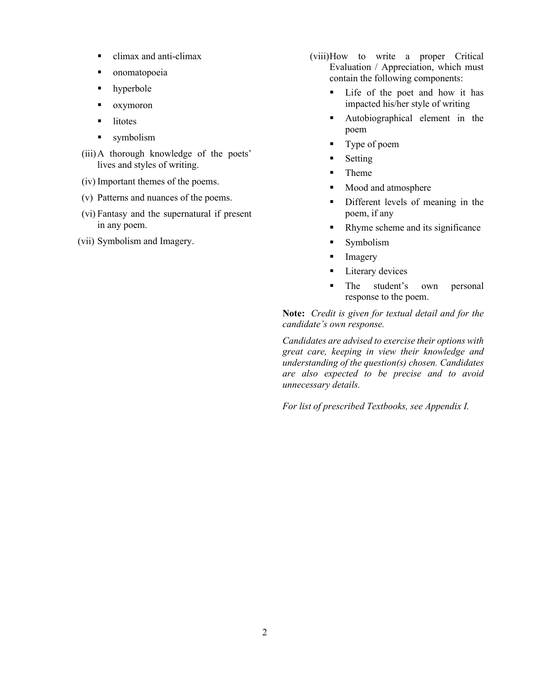- climax and anti-climax
- **n** onomatopoeia
- hyperbole
- oxymoron
- litotes
- symbolism
- (iii)A thorough knowledge of the poets' lives and styles of writing.
- (iv) Important themes of the poems.
- (v) Patterns and nuances of the poems.
- (vi) Fantasy and the supernatural if present in any poem.
- (vii) Symbolism and Imagery.
- (viii)How to write a proper Critical Evaluation / Appreciation, which must contain the following components:
	- Life of the poet and how it has impacted his/her style of writing
	- Autobiographical element in the poem
	- Type of poem
	- **Setting**
	- **Theme**
	- Mood and atmosphere
	- **Different levels of meaning in the** poem, if any
	- Rhyme scheme and its significance
	- **Symbolism**
	- **Imagery**
	- **Literary devices**
	- The student's own personal response to the poem.

**Note:** *Credit is given for textual detail and for the candidate's own response.*

*Candidates are advised to exercise their options with great care, keeping in view their knowledge and understanding of the question(s) chosen. Candidates are also expected to be precise and to avoid unnecessary details.*

*For list of prescribed Textbooks, see Appendix I.*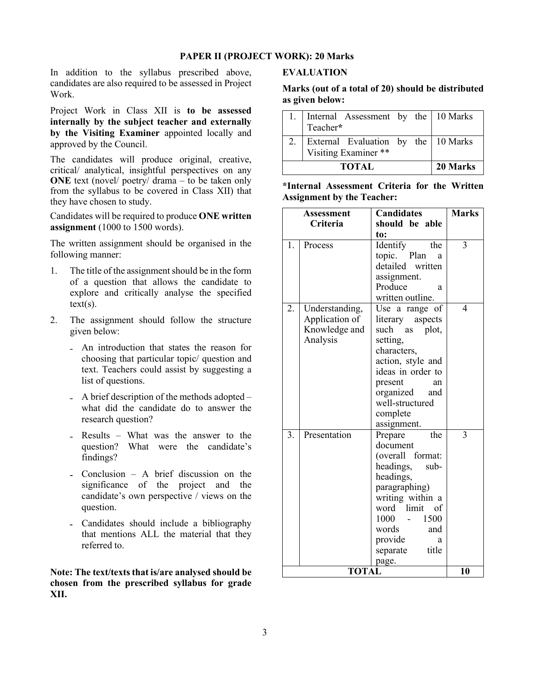#### **PAPER II (PROJECT WORK): 20 Marks**

In addition to the syllabus prescribed above, candidates are also required to be assessed in Project Work.

Project Work in Class XII is **to be assessed internally by the subject teacher and externally by the Visiting Examiner** appointed locally and approved by the Council.

The candidates will produce original, creative, critical/ analytical, insightful perspectives on any **ONE** text (novel/ poetry/ drama – to be taken only from the syllabus to be covered in Class XII) that they have chosen to study.

Candidates will be required to produce **ONE written assignment** (1000 to 1500 words).

The written assignment should be organised in the following manner:

- 1. The title of the assignment should be in the form of a question that allows the candidate to explore and critically analyse the specified  $text(s)$ .
- 2. The assignment should follow the structure given below:
	- An introduction that states the reason for choosing that particular topic/ question and text. Teachers could assist by suggesting a list of questions.
	- A brief description of the methods adopted what did the candidate do to answer the research question?
	- Results What was the answer to the question? What were the candidate's findings?
	- Conclusion A brief discussion on the significance of the project and the candidate's own perspective / views on the question.
	- Candidates should include a bibliography that mentions ALL the material that they referred to.

**Note: The text/texts that is/are analysed should be chosen from the prescribed syllabus for grade XII.**

#### **EVALUATION**

### **Marks (out of a total of 20) should be distributed as given below:**

| 1. Internal Assessment by the 10 Marks<br>Teacher*                 |          |  |
|--------------------------------------------------------------------|----------|--|
| 2.   External Evaluation by the   10 Marks<br>Visiting Examiner ** |          |  |
| <b>TOTAL</b>                                                       | 20 Marks |  |

#### **\*Internal Assessment Criteria for the Written Assignment by the Teacher:**

| <b>Assessment</b> |                | <b>Candidates</b>   | <b>Marks</b>             |
|-------------------|----------------|---------------------|--------------------------|
| Criteria          |                | should be able      |                          |
|                   |                | to:                 |                          |
| 1.                | Process        | the<br>Identify     | $\overline{\mathbf{3}}$  |
|                   |                | topic. Plan<br>a    |                          |
|                   |                | detailed written    |                          |
|                   |                | assignment.         |                          |
|                   |                | Produce<br>a        |                          |
|                   |                | written outline.    |                          |
| 2.                | Understanding, | Use a range of      | $\overline{\mathcal{L}}$ |
|                   | Application of | literary aspects    |                          |
|                   | Knowledge and  | such as plot,       |                          |
|                   | Analysis       | setting,            |                          |
|                   |                | characters,         |                          |
|                   |                | action, style and   |                          |
|                   |                | ideas in order to   |                          |
|                   |                | present<br>an       |                          |
|                   |                | organized<br>and    |                          |
|                   |                | well-structured     |                          |
|                   |                | complete            |                          |
| 3.                | Presentation   | assignment.<br>the  | $\overline{3}$           |
|                   |                | Prepare<br>document |                          |
|                   |                | (overall format:    |                          |
|                   |                | headings,<br>sub-   |                          |
|                   |                | headings,           |                          |
|                   |                | paragraphing)       |                          |
|                   |                | writing within a    |                          |
|                   |                | word limit of       |                          |
|                   |                | 1000 -<br>1500      |                          |
|                   |                | words<br>and        |                          |
|                   |                | provide<br>a        |                          |
|                   |                | separate<br>title   |                          |
|                   |                | page.               |                          |
|                   | 10             |                     |                          |